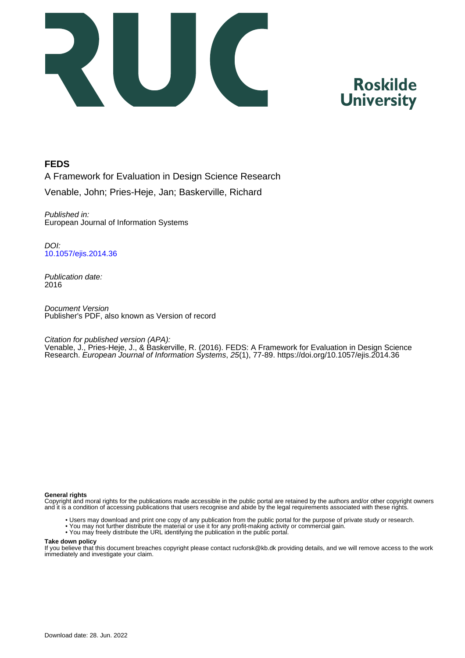

# **Roskilde University**

# **FEDS**

A Framework for Evaluation in Design Science Research Venable, John; Pries-Heje, Jan; Baskerville, Richard

Published in: European Journal of Information Systems

DOI: [10.1057/ejis.2014.36](https://doi.org/10.1057/ejis.2014.36)

Publication date: 2016

Document Version Publisher's PDF, also known as Version of record

Citation for published version (APA):

Venable, J., Pries-Heje, J., & Baskerville, R. (2016). FEDS: A Framework for Evaluation in Design Science Research. European Journal of Information Systems, 25(1), 77-89. <https://doi.org/10.1057/ejis.2014.36>

# **General rights**

Copyright and moral rights for the publications made accessible in the public portal are retained by the authors and/or other copyright owners and it is a condition of accessing publications that users recognise and abide by the legal requirements associated with these rights.

- Users may download and print one copy of any publication from the public portal for the purpose of private study or research.
- You may not further distribute the material or use it for any profit-making activity or commercial gain.
- You may freely distribute the URL identifying the publication in the public portal.

#### **Take down policy**

If you believe that this document breaches copyright please contact rucforsk@kb.dk providing details, and we will remove access to the work immediately and investigate your claim.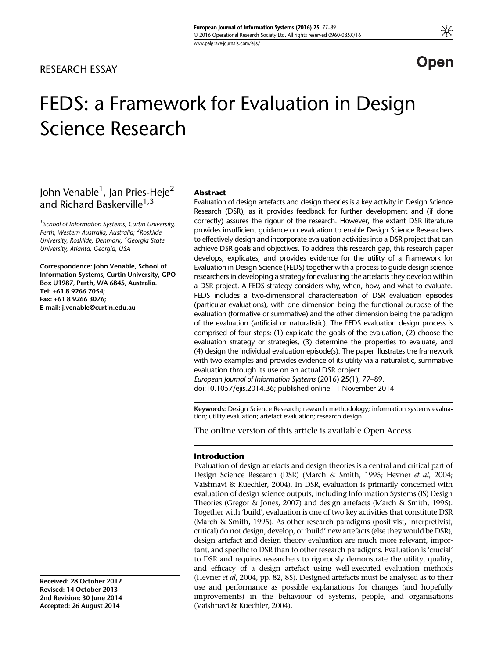RESEARCH ESSAY

# **Open**

# FEDS: a Framework for Evaluation in Design Science Research

John Venable<sup>1</sup>, Jan Pries-Heje<sup>2</sup> and Richard Baskerville<sup>1,3</sup>

<sup>1</sup> School of Information Systems, Curtin University, Perth, Western Australia, Australia; <sup>2</sup>Roskilde University, Roskilde, Denmark; <sup>3</sup>Georgia State University, Atlanta, Georgia, USA

Correspondence: John Venable, School of Information Systems, Curtin University, GPO Box U1987, Perth, WA 6845, Australia. Tel: +61 8 9266 7054; Fax: +61 8 9266 3076; E-mail: [j.venable@curtin.edu.au](mailto:j.venable@curtin.edu.au)

Abstract

Evaluation of design artefacts and design theories is a key activity in Design Science Research (DSR), as it provides feedback for further development and (if done correctly) assures the rigour of the research. However, the extant DSR literature provides insufficient guidance on evaluation to enable Design Science Researchers to effectively design and incorporate evaluation activities into a DSR project that can achieve DSR goals and objectives. To address this research gap, this research paper develops, explicates, and provides evidence for the utility of a Framework for Evaluation in Design Science (FEDS) together with a process to guide design science researchers in developing a strategy for evaluating the artefacts they develop within a DSR project. A FEDS strategy considers why, when, how, and what to evaluate. FEDS includes a two-dimensional characterisation of DSR evaluation episodes (particular evaluations), with one dimension being the functional purpose of the evaluation (formative or summative) and the other dimension being the paradigm of the evaluation (artificial or naturalistic). The FEDS evaluation design process is comprised of four steps: (1) explicate the goals of the evaluation, (2) choose the evaluation strategy or strategies, (3) determine the properties to evaluate, and (4) design the individual evaluation episode(s). The paper illustrates the framework with two examples and provides evidence of its utility via a naturalistic, summative evaluation through its use on an actual DSR project. European Journal of Information Systems (2016) 25(1), 77–89.

doi[:10.1057/ejis.2014.36](http://dx.doi.org/10.1057/ejis.2014.36); published online 11 November 2014

Keywords: Design Science Research; research methodology; information systems evaluation; utility evaluation; artefact evaluation; research design

The online version of this article is available Open Access

# Introduction

Evaluation of design artefacts and design theories is a central and critical part of Design Science Research (DSR) [\(March & Smith, 1995; Hevner](#page-13-0) et al, 2004; [Vaishnavi & Kuechler, 2004\)](#page-13-0). In DSR, evaluation is primarily concerned with evaluation of design science outputs, including Information Systems (IS) Design Theories ([Gregor & Jones, 2007](#page-13-0)) and design artefacts ([March & Smith, 1995\)](#page-13-0). Together with 'build', evaluation is one of two key activities that constitute DSR [\(March & Smith, 1995\)](#page-13-0). As other research paradigms (positivist, interpretivist, critical) do not design, develop, or 'build' new artefacts (else they would be DSR), design artefact and design theory evaluation are much more relevant, important, and specific to DSR than to other research paradigms. Evaluation is 'crucial' to DSR and requires researchers to rigorously demonstrate the utility, quality, and efficacy of a design artefact using well-executed evaluation methods [\(Hevner](#page-13-0) et al, 2004, pp. 82, 85). Designed artefacts must be analysed as to their use and performance as possible explanations for changes (and hopefully improvements) in the behaviour of systems, people, and organisations [\(Vaishnavi & Kuechler, 2004\)](#page-13-0).

Received: 28 October 2012 Revised: 14 October 2013 2nd Revision: 30 June 2014 Accepted: 26 August 2014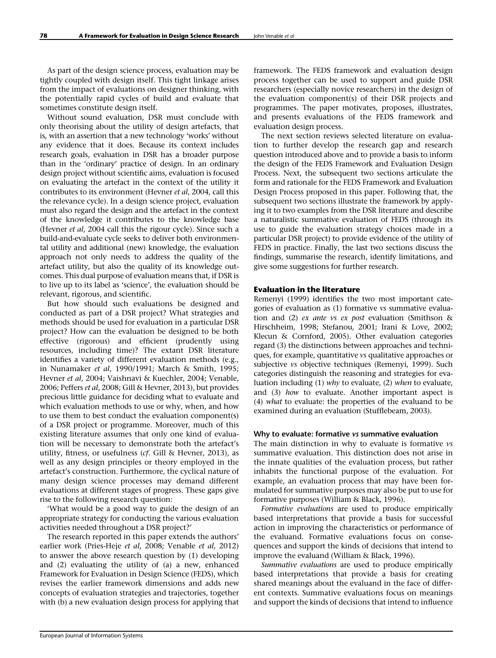As part of the design science process, evaluation may be tightly coupled with design itself. This tight linkage arises from the impact of evaluations on designer thinking, with the potentially rapid cycles of build and evaluate that sometimes constitute design itself.

Without sound evaluation, DSR must conclude with only theorising about the utility of design artefacts, that is, with an assertion that a new technology 'works' without any evidence that it does. Because its context includes research goals, evaluation in DSR has a broader purpose than in the 'ordinary' practice of design. In an ordinary design project without scientific aims, evaluation is focused on evaluating the artefact in the context of the utility it contributes to its environment [\(Hevner](#page-13-0) et al, 2004, call this the relevance cycle). In a design science project, evaluation must also regard the design and the artefact in the context of the knowledge it contributes to the knowledge base ([Hevner](#page-13-0) et al, 2004 call this the rigour cycle). Since such a build-and-evaluate cycle seeks to deliver both environmental utility and additional (new) knowledge, the evaluation approach not only needs to address the quality of the artefact utility, but also the quality of its knowledge outcomes. This dual purpose of evaluation means that, if DSR is to live up to its label as 'science', the evaluation should be relevant, rigorous, and scientific.

But how should such evaluations be designed and conducted as part of a DSR project? What strategies and methods should be used for evaluation in a particular DSR project? How can the evaluation be designed to be both effective (rigorous) and efficient (prudently using resources, including time)? The extant DSR literature identifies a variety of different evaluation methods (e.g., in Nunamaker et al[, 1990/1991; March & Smith, 1995](#page-13-0); [Hevner](#page-13-0) et al, 2004; [Vaishnavi & Kuechler, 2004](#page-13-0); [Venable,](#page-13-0) [2006](#page-13-0); [Peffers](#page-13-0) et al, 2008; [Gill & Hevner, 2013\)](#page-13-0), but provides precious little guidance for deciding what to evaluate and which evaluation methods to use or why, when, and how to use them to best conduct the evaluation component(s) of a DSR project or programme. Moreover, much of this existing literature assumes that only one kind of evaluation will be necessary to demonstrate both the artefact's utility, fitness, or usefulness (cf. [Gill & Hevner, 2013\)](#page-13-0), as well as any design principles or theory employed in the artefact's construction. Furthermore, the cyclical nature of many design science processes may demand different evaluations at different stages of progress. These gaps give rise to the following research question:

'What would be a good way to guide the design of an appropriate strategy for conducting the various evaluation activities needed throughout a DSR project?'

The research reported in this paper extends the authors' earlier work ([Pries-Heje](#page-13-0) et al, 2008; [Venable](#page-13-0) et al, 2012) to answer the above research question by (1) developing and (2) evaluating the utility of (a) a new, enhanced Framework for Evaluation in Design Science (FEDS), which revises the earlier framework dimensions and adds new concepts of evaluation strategies and trajectories, together with (b) a new evaluation design process for applying that framework. The FEDS framework and evaluation design process together can be used to support and guide DSR researchers (especially novice researchers) in the design of the evaluation component(s) of their DSR projects and programmes. The paper motivates, proposes, illustrates, and presents evaluations of the FEDS framework and evaluation design process.

The next section reviews selected literature on evaluation to further develop the research gap and research question introduced above and to provide a basis to inform the design of the FEDS Framework and Evaluation Design Process. Next, the subsequent two sections articulate the form and rationale for the FEDS Framework and Evaluation Design Process proposed in this paper. Following that, the subsequent two sections illustrate the framework by applying it to two examples from the DSR literature and describe a naturalistic summative evaluation of FEDS (through its use to guide the evaluation strategy choices made in a particular DSR project) to provide evidence of the utility of FEDS in practice. Finally, the last two sections discuss the findings, summarise the research, identify limitations, and give some suggestions for further research.

# Evaluation in the literature

[Remenyi \(1999\)](#page-13-0) identifies the two most important categories of evaluation as (1) formative vs summative evaluation and (2) ex ante vs ex post evaluation [\(Smithson &](#page-13-0) [Hirschheim, 1998](#page-13-0); [Stefanou, 2001; Irani & Love, 2002](#page-13-0); [Klecun & Cornford, 2005](#page-13-0)). Other evaluation categories regard (3) the distinctions between approaches and techniques, for example, quantitative vs qualitative approaches or subjective vs objective techniques [\(Remenyi, 1999\)](#page-13-0). Such categories distinguish the reasoning and strategies for evaluation including (1) why to evaluate, (2) when to evaluate, and (3) how to evaluate. Another important aspect is (4) what to evaluate: the properties of the evaluand to be examined during an evaluation (Stuffl[ebeam, 2003](#page-13-0)).

#### Why to evaluate: formative vs summative evaluation

The main distinction in why to evaluate is formative vs summative evaluation. This distinction does not arise in the innate qualities of the evaluation process, but rather inhabits the functional purpose of the evaluation. For example, an evaluation process that may have been formulated for summative purposes may also be put to use for formative purposes ([William & Black, 1996](#page-13-0)).

Formative evaluations are used to produce empirically based interpretations that provide a basis for successful action in improving the characteristics or performance of the evaluand. Formative evaluations focus on consequences and support the kinds of decisions that intend to improve the evaluand ([William & Black, 1996\)](#page-13-0).

Summative evaluations are used to produce empirically based interpretations that provide a basis for creating shared meanings about the evaluand in the face of different contexts. Summative evaluations focus on meanings and support the kinds of decisions that intend to influence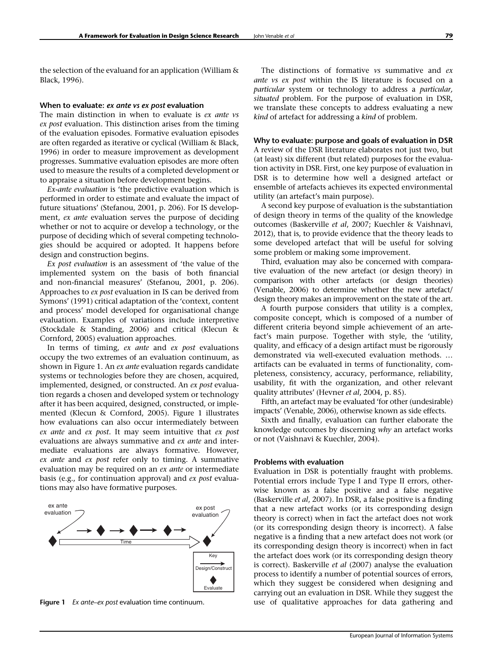the selection of the evaluand for an application ([William &](#page-13-0) [Black, 1996](#page-13-0)).

#### When to evaluate: ex ante vs ex post evaluation

The main distinction in when to evaluate is ex ante vs ex post evaluation. This distinction arises from the timing of the evaluation episodes. Formative evaluation episodes are often regarded as iterative or cyclical [\(William & Black,](#page-13-0) [1996](#page-13-0)) in order to measure improvement as development progresses. Summative evaluation episodes are more often used to measure the results of a completed development or to appraise a situation before development begins.

Ex-ante evaluation is 'the predictive evaluation which is performed in order to estimate and evaluate the impact of future situations' ([Stefanou, 2001,](#page-13-0) p. 206). For IS development, ex ante evaluation serves the purpose of deciding whether or not to acquire or develop a technology, or the purpose of deciding which of several competing technologies should be acquired or adopted. It happens before design and construction begins.

Ex post evaluation is an assessment of 'the value of the implemented system on the basis of both financial and non-financial measures' [\(Stefanou, 2001](#page-13-0), p. 206). Approaches to ex post evaluation in IS can be derived from [Symons](#page-13-0)' (1991) critical adaptation of the 'context, content and process' model developed for organisational change evaluation. Examples of variations include interpretive ([Stockdale & Standing, 2006](#page-13-0)) and critical ([Klecun &](#page-13-0) [Cornford, 2005](#page-13-0)) evaluation approaches.

In terms of timing, ex ante and ex post evaluations occupy the two extremes of an evaluation continuum, as shown in Figure 1. An ex ante evaluation regards candidate systems or technologies before they are chosen, acquired, implemented, designed, or constructed. An ex post evaluation regards a chosen and developed system or technology after it has been acquired, designed, constructed, or implemented [\(Klecun & Cornford, 2005\)](#page-13-0). Figure 1 illustrates how evaluations can also occur intermediately between ex ante and ex post. It may seem intuitive that ex post evaluations are always summative and ex ante and intermediate evaluations are always formative. However, ex ante and ex post refer only to timing. A summative evaluation may be required on an ex ante or intermediate basis (e.g., for continuation approval) and ex post evaluations may also have formative purposes.



Figure 1 Ex ante–ex post evaluation time continuum.

The distinctions of formative vs summative and ex ante vs ex post within the IS literature is focused on a particular system or technology to address a particular, situated problem. For the purpose of evaluation in DSR, we translate these concepts to address evaluating a new kind of artefact for addressing a kind of problem.

Why to evaluate: purpose and goals of evaluation in DSR A review of the DSR literature elaborates not just two, but (at least) six different (but related) purposes for the evaluation activity in DSR. First, one key purpose of evaluation in DSR is to determine how well a designed artefact or ensemble of artefacts achieves its expected environmental utility (an artefact's main purpose).

A second key purpose of evaluation is the substantiation of design theory in terms of the quality of the knowledge outcomes [\(Baskerville](#page-12-0) et al, 2007; [Kuechler & Vaishnavi,](#page-13-0) [2012](#page-13-0)), that is, to provide evidence that the theory leads to some developed artefact that will be useful for solving some problem or making some improvement.

Third, evaluation may also be concerned with comparative evaluation of the new artefact (or design theory) in comparison with other artefacts (or design theories) ([Venable, 2006](#page-13-0)) to determine whether the new artefact/ design theory makes an improvement on the state of the art.

A fourth purpose considers that utility is a complex, composite concept, which is composed of a number of different criteria beyond simple achievement of an artefact's main purpose. Together with style, the 'utility, quality, and efficacy of a design artifact must be rigorously demonstrated via well-executed evaluation methods. … artifacts can be evaluated in terms of functionality, completeness, consistency, accuracy, performance, reliability, usability, fit with the organization, and other relevant quality attributes' [\(Hevner](#page-13-0) et al, 2004, p. 85).

Fifth, an artefact may be evaluated 'for other (undesirable) impacts' ([Venable, 2006](#page-13-0)), otherwise known as side effects.

Sixth and finally, evaluation can further elaborate the knowledge outcomes by discerning why an artefact works or not ([Vaishnavi & Kuechler, 2004\)](#page-13-0).

#### Problems with evaluation

Evaluation in DSR is potentially fraught with problems. Potential errors include Type I and Type II errors, otherwise known as a false positive and a false negative ([Baskerville](#page-12-0) et al, 2007). In DSR, a false positive is a finding that a new artefact works (or its corresponding design theory is correct) when in fact the artefact does not work (or its corresponding design theory is incorrect). A false negative is a finding that a new artefact does not work (or its corresponding design theory is incorrect) when in fact the artefact does work (or its corresponding design theory is correct). [Baskerville](#page-12-0) et al (2007) analyse the evaluation process to identify a number of potential sources of errors, which they suggest be considered when designing and carrying out an evaluation in DSR. While they suggest the use of qualitative approaches for data gathering and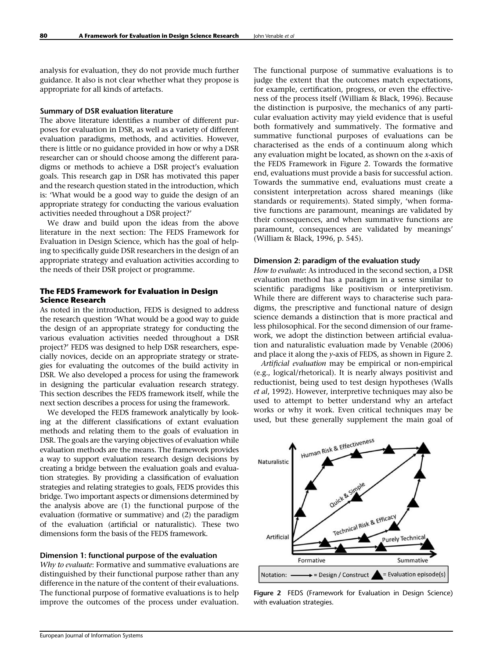<span id="page-4-0"></span>analysis for evaluation, they do not provide much further guidance. It also is not clear whether what they propose is appropriate for all kinds of artefacts.

# Summary of DSR evaluation literature

The above literature identifies a number of different purposes for evaluation in DSR, as well as a variety of different evaluation paradigms, methods, and activities. However, there is little or no guidance provided in how or why a DSR researcher can or should choose among the different paradigms or methods to achieve a DSR project's evaluation goals. This research gap in DSR has motivated this paper and the research question stated in the introduction, which is: 'What would be a good way to guide the design of an appropriate strategy for conducting the various evaluation activities needed throughout a DSR project?'

We draw and build upon the ideas from the above literature in the next section: The FEDS Framework for Evaluation in Design Science, which has the goal of helping to specifically guide DSR researchers in the design of an appropriate strategy and evaluation activities according to the needs of their DSR project or programme.

# The FEDS Framework for Evaluation in Design Science Research

As noted in the introduction, FEDS is designed to address the research question 'What would be a good way to guide the design of an appropriate strategy for conducting the various evaluation activities needed throughout a DSR project?' FEDS was designed to help DSR researchers, especially novices, decide on an appropriate strategy or strategies for evaluating the outcomes of the build activity in DSR. We also developed a process for using the framework in designing the particular evaluation research strategy. This section describes the FEDS framework itself, while the next section describes a process for using the framework.

We developed the FEDS framework analytically by looking at the different classifications of extant evaluation methods and relating them to the goals of evaluation in DSR. The goals are the varying objectives of evaluation while evaluation methods are the means. The framework provides a way to support evaluation research design decisions by creating a bridge between the evaluation goals and evaluation strategies. By providing a classification of evaluation strategies and relating strategies to goals, FEDS provides this bridge. Two important aspects or dimensions determined by the analysis above are (1) the functional purpose of the evaluation (formative or summative) and (2) the paradigm of the evaluation (artificial or naturalistic). These two dimensions form the basis of the FEDS framework.

#### Dimension 1: functional purpose of the evaluation

Why to evaluate: Formative and summative evaluations are distinguished by their functional purpose rather than any difference in the nature of the content of their evaluations. The functional purpose of formative evaluations is to help improve the outcomes of the process under evaluation.

The functional purpose of summative evaluations is to judge the extent that the outcomes match expectations, for example, certification, progress, or even the effectiveness of the process itself [\(William & Black, 1996\)](#page-13-0). Because the distinction is purposive, the mechanics of any particular evaluation activity may yield evidence that is useful both formatively and summatively. The formative and summative functional purposes of evaluations can be characterised as the ends of a continuum along which any evaluation might be located, as shown on the x-axis of the FEDS Framework in Figure 2. Towards the formative end, evaluations must provide a basis for successful action. Towards the summative end, evaluations must create a consistent interpretation across shared meanings (like standards or requirements). Stated simply, 'when formative functions are paramount, meanings are validated by their consequences, and when summative functions are paramount, consequences are validated by meanings' ([William & Black, 1996](#page-13-0), p. 545).

#### Dimension 2: paradigm of the evaluation study

How to evaluate: As introduced in the second section, a DSR evaluation method has a paradigm in a sense similar to scientific paradigms like positivism or interpretivism. While there are different ways to characterise such paradigms, the prescriptive and functional nature of design science demands a distinction that is more practical and less philosophical. For the second dimension of our framework, we adopt the distinction between artificial evaluation and naturalistic evaluation made by [Venable \(2006\)](#page-13-0) and place it along the y-axis of FEDS, as shown in Figure 2.

Artificial evaluation may be empirical or non-empirical (e.g., logical/rhetorical). It is nearly always positivist and reductionist, being used to test design hypotheses [\(Walls](#page-13-0) et al[, 1992](#page-13-0)). However, interpretive techniques may also be used to attempt to better understand why an artefact works or why it work. Even critical techniques may be used, but these generally supplement the main goal of



Figure 2 FEDS (Framework for Evaluation in Design Science) with evaluation strategies.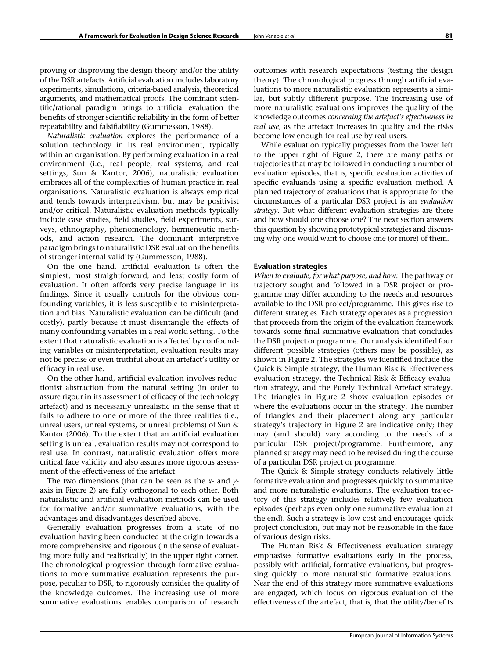proving or disproving the design theory and/or the utility of the DSR artefacts. Artificial evaluation includes laboratory experiments, simulations, criteria-based analysis, theoretical arguments, and mathematical proofs. The dominant scientific/rational paradigm brings to artificial evaluation the benefits of stronger scientific reliability in the form of better repeatability and falsifiability [\(Gummesson, 1988\)](#page-13-0).

Naturalistic evaluation explores the performance of a solution technology in its real environment, typically within an organisation. By performing evaluation in a real environment (i.e., real people, real systems, and real settings, [Sun & Kantor, 2006\)](#page-13-0), naturalistic evaluation embraces all of the complexities of human practice in real organisations. Naturalistic evaluation is always empirical and tends towards interpretivism, but may be positivist and/or critical. Naturalistic evaluation methods typically include case studies, field studies, field experiments, surveys, ethnography, phenomenology, hermeneutic methods, and action research. The dominant interpretive paradigm brings to naturalistic DSR evaluation the benefits of stronger internal validity [\(Gummesson, 1988\)](#page-13-0).

On the one hand, artificial evaluation is often the simplest, most straightforward, and least costly form of evaluation. It often affords very precise language in its findings. Since it usually controls for the obvious confounding variables, it is less susceptible to misinterpretation and bias. Naturalistic evaluation can be difficult (and costly), partly because it must disentangle the effects of many confounding variables in a real world setting. To the extent that naturalistic evaluation is affected by confounding variables or misinterpretation, evaluation results may not be precise or even truthful about an artefact's utility or efficacy in real use.

On the other hand, artificial evaluation involves reductionist abstraction from the natural setting (in order to assure rigour in its assessment of efficacy of the technology artefact) and is necessarily unrealistic in the sense that it fails to adhere to one or more of the three realities (i.e., unreal users, unreal systems, or unreal problems) of [Sun &](#page-13-0) [Kantor \(2006\)](#page-13-0). To the extent that an artificial evaluation setting is unreal, evaluation results may not correspond to real use. In contrast, naturalistic evaluation offers more critical face validity and also assures more rigorous assessment of the effectiveness of the artefact.

The two dimensions (that can be seen as the  $x$ - and  $y$ axis in [Figure 2](#page-4-0)) are fully orthogonal to each other. Both naturalistic and artificial evaluation methods can be used for formative and/or summative evaluations, with the advantages and disadvantages described above.

Generally evaluation progresses from a state of no evaluation having been conducted at the origin towards a more comprehensive and rigorous (in the sense of evaluating more fully and realistically) in the upper right corner. The chronological progression through formative evaluations to more summative evaluation represents the purpose, peculiar to DSR, to rigorously consider the quality of the knowledge outcomes. The increasing use of more summative evaluations enables comparison of research outcomes with research expectations (testing the design theory). The chronological progress through artificial evaluations to more naturalistic evaluation represents a similar, but subtly different purpose. The increasing use of more naturalistic evaluations improves the quality of the knowledge outcomes concerning the artefact's effectiveness in real use, as the artefact increases in quality and the risks become low enough for real use by real users.

While evaluation typically progresses from the lower left to the upper right of [Figure 2](#page-4-0), there are many paths or trajectories that may be followed in conducting a number of evaluation episodes, that is, specific evaluation activities of specific evaluands using a specific evaluation method. A planned trajectory of evaluations that is appropriate for the circumstances of a particular DSR project is an evaluation strategy. But what different evaluation strategies are there and how should one choose one? The next section answers this question by showing prototypical strategies and discussing why one would want to choose one (or more) of them.

#### Evaluation strategies

When to evaluate, for what purpose, and how: The pathway or trajectory sought and followed in a DSR project or programme may differ according to the needs and resources available to the DSR project/programme. This gives rise to different strategies. Each strategy operates as a progression that proceeds from the origin of the evaluation framework towards some final summative evaluation that concludes the DSR project or programme. Our analysis identified four different possible strategies (others may be possible), as shown in [Figure 2.](#page-4-0) The strategies we identified include the Quick & Simple strategy, the Human Risk & Effectiveness evaluation strategy, the Technical Risk & Efficacy evaluation strategy, and the Purely Technical Artefact strategy. The triangles in [Figure 2](#page-4-0) show evaluation episodes or where the evaluations occur in the strategy. The number of triangles and their placement along any particular strategy's trajectory in [Figure 2](#page-4-0) are indicative only; they may (and should) vary according to the needs of a particular DSR project/programme. Furthermore, any planned strategy may need to be revised during the course of a particular DSR project or programme.

The Quick & Simple strategy conducts relatively little formative evaluation and progresses quickly to summative and more naturalistic evaluations. The evaluation trajectory of this strategy includes relatively few evaluation episodes (perhaps even only one summative evaluation at the end). Such a strategy is low cost and encourages quick project conclusion, but may not be reasonable in the face of various design risks.

The Human Risk & Effectiveness evaluation strategy emphasises formative evaluations early in the process, possibly with artificial, formative evaluations, but progressing quickly to more naturalistic formative evaluations. Near the end of this strategy more summative evaluations are engaged, which focus on rigorous evaluation of the effectiveness of the artefact, that is, that the utility/benefits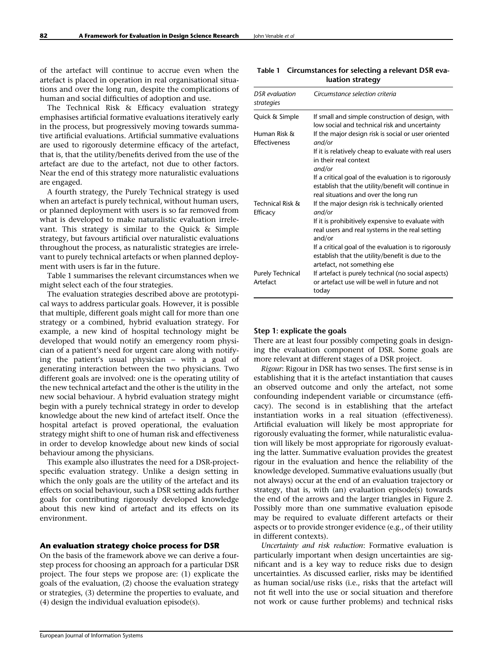<span id="page-6-0"></span>of the artefact will continue to accrue even when the artefact is placed in operation in real organisational situations and over the long run, despite the complications of human and social difficulties of adoption and use.

The Technical Risk & Efficacy evaluation strategy emphasises artificial formative evaluations iteratively early in the process, but progressively moving towards summative artificial evaluations. Artificial summative evaluations are used to rigorously determine efficacy of the artefact, that is, that the utility/benefits derived from the use of the artefact are due to the artefact, not due to other factors. Near the end of this strategy more naturalistic evaluations are engaged.

A fourth strategy, the Purely Technical strategy is used when an artefact is purely technical, without human users, or planned deployment with users is so far removed from what is developed to make naturalistic evaluation irrelevant. This strategy is similar to the Quick & Simple strategy, but favours artificial over naturalistic evaluations throughout the process, as naturalistic strategies are irrelevant to purely technical artefacts or when planned deployment with users is far in the future.

Table 1 summarises the relevant circumstances when we might select each of the four strategies.

The evaluation strategies described above are prototypical ways to address particular goals. However, it is possible that multiple, different goals might call for more than one strategy or a combined, hybrid evaluation strategy. For example, a new kind of hospital technology might be developed that would notify an emergency room physician of a patient's need for urgent care along with notifying the patient's usual physician – with a goal of generating interaction between the two physicians. Two different goals are involved: one is the operating utility of the new technical artefact and the other is the utility in the new social behaviour. A hybrid evaluation strategy might begin with a purely technical strategy in order to develop knowledge about the new kind of artefact itself. Once the hospital artefact is proved operational, the evaluation strategy might shift to one of human risk and effectiveness in order to develop knowledge about new kinds of social behaviour among the physicians.

This example also illustrates the need for a DSR-projectspecific evaluation strategy. Unlike a design setting in which the only goals are the utility of the artefact and its effects on social behaviour, such a DSR setting adds further goals for contributing rigorously developed knowledge about this new kind of artefact and its effects on its environment.

#### An evaluation strategy choice process for DSR

On the basis of the framework above we can derive a fourstep process for choosing an approach for a particular DSR project. The four steps we propose are: (1) explicate the goals of the evaluation, (2) choose the evaluation strategy or strategies, (3) determine the properties to evaluate, and (4) design the individual evaluation episode(s).

| DSR evaluation<br>strategies        | Circumstance selection criteria                                                                                                                       |  |  |
|-------------------------------------|-------------------------------------------------------------------------------------------------------------------------------------------------------|--|--|
| Quick & Simple                      | If small and simple construction of design, with<br>low social and technical risk and uncertainty                                                     |  |  |
| Human Risk &<br>Effectiveness       | If the major design risk is social or user oriented<br>and/or                                                                                         |  |  |
|                                     | If it is relatively cheap to evaluate with real users<br>in their real context<br>and/or                                                              |  |  |
|                                     | If a critical goal of the evaluation is to rigorously<br>establish that the utility/benefit will continue in<br>real situations and over the long run |  |  |
| Technical Risk &<br>Efficacy        | If the major design risk is technically oriented<br>and/or                                                                                            |  |  |
|                                     | If it is prohibitively expensive to evaluate with<br>real users and real systems in the real setting<br>and/or                                        |  |  |
|                                     | If a critical goal of the evaluation is to rigorously<br>establish that the utility/benefit is due to the<br>artefact, not something else             |  |  |
| <b>Purely Technical</b><br>Artefact | If artefact is purely technical (no social aspects)<br>or artefact use will be well in future and not<br>today                                        |  |  |

#### Step 1: explicate the goals

There are at least four possibly competing goals in designing the evaluation component of DSR. Some goals are more relevant at different stages of a DSR project.

Rigour: Rigour in DSR has two senses. The first sense is in establishing that it is the artefact instantiation that causes an observed outcome and only the artefact, not some confounding independent variable or circumstance (efficacy). The second is in establishing that the artefact instantiation works in a real situation (effectiveness). Artificial evaluation will likely be most appropriate for rigorously evaluating the former, while naturalistic evaluation will likely be most appropriate for rigorously evaluating the latter. Summative evaluation provides the greatest rigour in the evaluation and hence the reliability of the knowledge developed. Summative evaluations usually (but not always) occur at the end of an evaluation trajectory or strategy, that is, with (an) evaluation episode(s) towards the end of the arrows and the larger triangles in [Figure 2](#page-4-0). Possibly more than one summative evaluation episode may be required to evaluate different artefacts or their aspects or to provide stronger evidence (e.g., of their utility in different contexts).

Uncertainty and risk reduction: Formative evaluation is particularly important when design uncertainties are significant and is a key way to reduce risks due to design uncertainties. As discussed earlier, risks may be identified as human social/use risks (i.e., risks that the artefact will not fit well into the use or social situation and therefore not work or cause further problems) and technical risks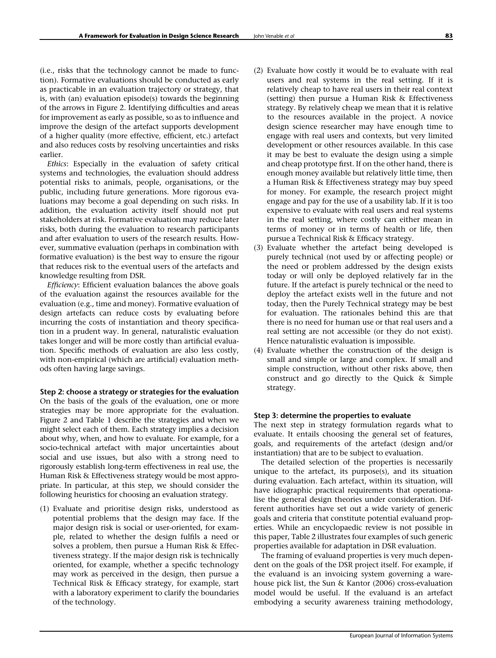(i.e., risks that the technology cannot be made to function). Formative evaluations should be conducted as early as practicable in an evaluation trajectory or strategy, that is, with (an) evaluation episode(s) towards the beginning of the arrows in [Figure 2.](#page-4-0) Identifying difficulties and areas for improvement as early as possible, so as to influence and improve the design of the artefact supports development of a higher quality (more effective, efficient, etc.) artefact and also reduces costs by resolving uncertainties and risks earlier.

Ethics: Especially in the evaluation of safety critical systems and technologies, the evaluation should address potential risks to animals, people, organisations, or the public, including future generations. More rigorous evaluations may become a goal depending on such risks. In addition, the evaluation activity itself should not put stakeholders at risk. Formative evaluation may reduce later risks, both during the evaluation to research participants and after evaluation to users of the research results. However, summative evaluation (perhaps in combination with formative evaluation) is the best way to ensure the rigour that reduces risk to the eventual users of the artefacts and knowledge resulting from DSR.

Efficiency: Efficient evaluation balances the above goals of the evaluation against the resources available for the evaluation (e.g., time and money). Formative evaluation of design artefacts can reduce costs by evaluating before incurring the costs of instantiation and theory specification in a prudent way. In general, naturalistic evaluation takes longer and will be more costly than artificial evaluation. Specific methods of evaluation are also less costly, with non-empirical (which are artificial) evaluation methods often having large savings.

Step 2: choose a strategy or strategies for the evaluation On the basis of the goals of the evaluation, one or more strategies may be more appropriate for the evaluation. [Figure 2](#page-4-0) and [Table 1](#page-6-0) describe the strategies and when we might select each of them. Each strategy implies a decision about why, when, and how to evaluate. For example, for a socio-technical artefact with major uncertainties about social and use issues, but also with a strong need to rigorously establish long-term effectiveness in real use, the Human Risk & Effectiveness strategy would be most appropriate. In particular, at this step, we should consider the following heuristics for choosing an evaluation strategy.

(1) Evaluate and prioritise design risks, understood as potential problems that the design may face. If the major design risk is social or user-oriented, for example, related to whether the design fulfils a need or solves a problem, then pursue a Human Risk & Effectiveness strategy. If the major design risk is technically oriented, for example, whether a specific technology may work as perceived in the design, then pursue a Technical Risk & Efficacy strategy, for example, start with a laboratory experiment to clarify the boundaries of the technology.

- (2) Evaluate how costly it would be to evaluate with real users and real systems in the real setting. If it is relatively cheap to have real users in their real context (setting) then pursue a Human Risk & Effectiveness strategy. By relatively cheap we mean that it is relative to the resources available in the project. A novice design science researcher may have enough time to engage with real users and contexts, but very limited development or other resources available. In this case it may be best to evaluate the design using a simple and cheap prototype first. If on the other hand, there is enough money available but relatively little time, then a Human Risk & Effectiveness strategy may buy speed for money. For example, the research project might engage and pay for the use of a usability lab. If it is too expensive to evaluate with real users and real systems in the real setting, where costly can either mean in terms of money or in terms of health or life, then pursue a Technical Risk & Efficacy strategy.
- (3) Evaluate whether the artefact being developed is purely technical (not used by or affecting people) or the need or problem addressed by the design exists today or will only be deployed relatively far in the future. If the artefact is purely technical or the need to deploy the artefact exists well in the future and not today, then the Purely Technical strategy may be best for evaluation. The rationales behind this are that there is no need for human use or that real users and a real setting are not accessible (or they do not exist). Hence naturalistic evaluation is impossible.
- (4) Evaluate whether the construction of the design is small and simple or large and complex. If small and simple construction, without other risks above, then construct and go directly to the Quick & Simple strategy.

#### Step 3: determine the properties to evaluate

The next step in strategy formulation regards what to evaluate. It entails choosing the general set of features, goals, and requirements of the artefact (design and/or instantiation) that are to be subject to evaluation.

The detailed selection of the properties is necessarily unique to the artefact, its purpose(s), and its situation during evaluation. Each artefact, within its situation, will have idiographic practical requirements that operationalise the general design theories under consideration. Different authorities have set out a wide variety of generic goals and criteria that constitute potential evaluand properties. While an encyclopaedic review is not possible in this paper, [Table 2](#page-8-0) illustrates four examples of such generic properties available for adaptation in DSR evaluation.

The framing of evaluand properties is very much dependent on the goals of the DSR project itself. For example, if the evaluand is an invoicing system governing a warehouse pick list, the [Sun & Kantor \(2006\)](#page-13-0) cross-evaluation model would be useful. If the evaluand is an artefact embodying a security awareness training methodology,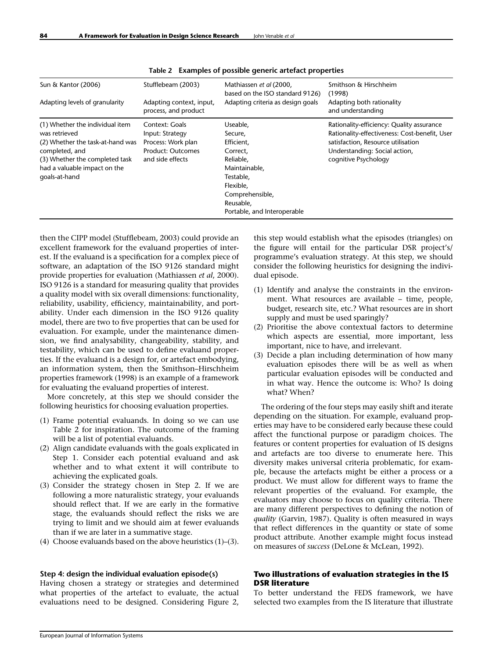<span id="page-8-0"></span>

| Sun & Kantor (2006)<br>Adapting levels of granularity                                                                                                                                     | Stufflebeam (2003)<br>Adapting context, input,<br>process, and product                                  | Mathiassen et al (2000,<br>based on the ISO standard 9126)<br>Adapting criteria as design goals                                                                      | Smithson & Hirschheim<br>(1998)<br>Adapting both rationality<br>and understanding                                                                                                         |
|-------------------------------------------------------------------------------------------------------------------------------------------------------------------------------------------|---------------------------------------------------------------------------------------------------------|----------------------------------------------------------------------------------------------------------------------------------------------------------------------|-------------------------------------------------------------------------------------------------------------------------------------------------------------------------------------------|
| (1) Whether the individual item<br>was retrieved<br>(2) Whether the task-at-hand was<br>completed, and<br>(3) Whether the completed task<br>had a valuable impact on the<br>goals-at-hand | Context: Goals<br>Input: Strategy<br>Process: Work plan<br><b>Product: Outcomes</b><br>and side effects | Useable,<br>Secure,<br>Efficient,<br>Correct,<br>Reliable,<br>Maintainable,<br>Testable,<br>Flexible,<br>Comprehensible,<br>Reusable,<br>Portable, and Interoperable | Rationality-efficiency: Quality assurance<br>Rationality-effectiveness: Cost-benefit, User<br>satisfaction, Resource utilisation<br>Understanding: Social action,<br>cognitive Psychology |

|  |  |  |  |  |  | Table 2 Examples of possible generic artefact properties |
|--|--|--|--|--|--|----------------------------------------------------------|
|--|--|--|--|--|--|----------------------------------------------------------|

then the CIPP model (Stuffl[ebeam, 2003\)](#page-13-0) could provide an excellent framework for the evaluand properties of interest. If the evaluand is a specification for a complex piece of software, an adaptation of the ISO 9126 standard might provide properties for evaluation [\(Mathiassen](#page-13-0) et al, 2000). ISO 9126 is a standard for measuring quality that provides a quality model with six overall dimensions: functionality, reliability, usability, efficiency, maintainability, and portability. Under each dimension in the ISO 9126 quality model, there are two to five properties that can be used for evaluation. For example, under the maintenance dimension, we find analysability, changeability, stability, and testability, which can be used to define evaluand properties. If the evaluand is a design for, or artefact embodying, an information system, then the Smithson–Hirschheim properties framework (1998) is an example of a framework for evaluating the evaluand properties of interest.

More concretely, at this step we should consider the following heuristics for choosing evaluation properties.

- (1) Frame potential evaluands. In doing so we can use Table 2 for inspiration. The outcome of the framing will be a list of potential evaluands.
- (2) Align candidate evaluands with the goals explicated in Step 1. Consider each potential evaluand and ask whether and to what extent it will contribute to achieving the explicated goals.
- (3) Consider the strategy chosen in Step 2. If we are following a more naturalistic strategy, your evaluands should reflect that. If we are early in the formative stage, the evaluands should reflect the risks we are trying to limit and we should aim at fewer evaluands than if we are later in a summative stage.
- (4) Choose evaluands based on the above heuristics (1)–(3).

#### Step 4: design the individual evaluation episode(s)

Having chosen a strategy or strategies and determined what properties of the artefact to evaluate, the actual evaluations need to be designed. Considering [Figure 2](#page-4-0),

this step would establish what the episodes (triangles) on the figure will entail for the particular DSR project's/ programme's evaluation strategy. At this step, we should consider the following heuristics for designing the individual episode.

- (1) Identify and analyse the constraints in the environment. What resources are available – time, people, budget, research site, etc.? What resources are in short supply and must be used sparingly?
- (2) Prioritise the above contextual factors to determine which aspects are essential, more important, less important, nice to have, and irrelevant.
- (3) Decide a plan including determination of how many evaluation episodes there will be as well as when particular evaluation episodes will be conducted and in what way. Hence the outcome is: Who? Is doing what? When?

The ordering of the four steps may easily shift and iterate depending on the situation. For example, evaluand properties may have to be considered early because these could affect the functional purpose or paradigm choices. The features or content properties for evaluation of IS designs and artefacts are too diverse to enumerate here. This diversity makes universal criteria problematic, for example, because the artefacts might be either a process or a product. We must allow for different ways to frame the relevant properties of the evaluand. For example, the evaluators may choose to focus on quality criteria. There are many different perspectives to defining the notion of quality ([Garvin, 1987](#page-13-0)). Quality is often measured in ways that reflect differences in the quantity or state of some product attribute. Another example might focus instead on measures of success [\(DeLone & McLean, 1992\)](#page-13-0).

# Two illustrations of evaluation strategies in the IS DSR literature

To better understand the FEDS framework, we have selected two examples from the IS literature that illustrate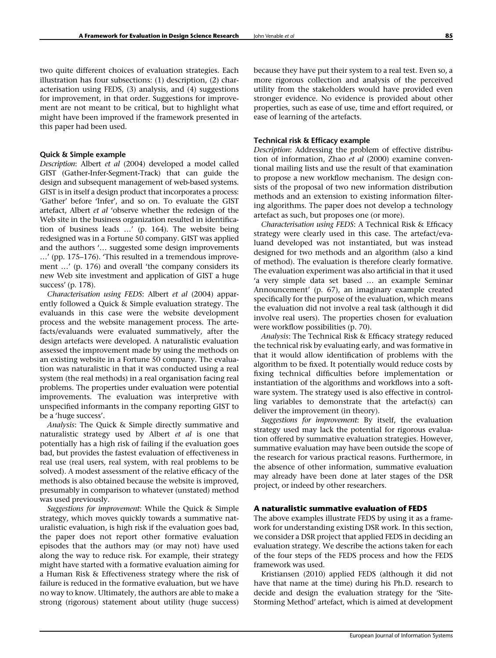two quite different choices of evaluation strategies. Each illustration has four subsections: (1) description, (2) characterisation using FEDS, (3) analysis, and (4) suggestions for improvement, in that order. Suggestions for improvement are not meant to be critical, but to highlight what might have been improved if the framework presented in this paper had been used.

# Quick & Simple example

Description: Albert et al [\(2004\)](#page-12-0) developed a model called GIST (Gather-Infer-Segment-Track) that can guide the design and subsequent management of web-based systems. GIST is in itself a design product that incorporates a process: 'Gather' before 'Infer', and so on. To evaluate the GIST artefact, Albert et al 'observe whether the redesign of the Web site in the business organization resulted in identification of business leads …' (p. 164). The website being redesigned was in a Fortune 50 company. GIST was applied and the authors '… suggested some design improvements …' (pp. 175–176). 'This resulted in a tremendous improvement …' (p. 176) and overall 'the company considers its new Web site investment and application of GIST a huge success' (p. 178).

Characterisation using FEDS: Albert et al [\(2004\)](#page-12-0) apparently followed a Quick & Simple evaluation strategy. The evaluands in this case were the website development process and the website management process. The artefacts/evaluands were evaluated summatively, after the design artefacts were developed. A naturalistic evaluation assessed the improvement made by using the methods on an existing website in a Fortune 50 company. The evaluation was naturalistic in that it was conducted using a real system (the real methods) in a real organisation facing real problems. The properties under evaluation were potential improvements. The evaluation was interpretive with unspecified informants in the company reporting GIST to be a 'huge success'.

Analysis: The Quick & Simple directly summative and naturalistic strategy used by Albert et al is one that potentially has a high risk of failing if the evaluation goes bad, but provides the fastest evaluation of effectiveness in real use (real users, real system, with real problems to be solved). A modest assessment of the relative efficacy of the methods is also obtained because the website is improved, presumably in comparison to whatever (unstated) method was used previously.

Suggestions for improvement: While the Quick & Simple strategy, which moves quickly towards a summative naturalistic evaluation, is high risk if the evaluation goes bad, the paper does not report other formative evaluation episodes that the authors may (or may not) have used along the way to reduce risk. For example, their strategy might have started with a formative evaluation aiming for a Human Risk & Effectiveness strategy where the risk of failure is reduced in the formative evaluation, but we have no way to know. Ultimately, the authors are able to make a strong (rigorous) statement about utility (huge success) because they have put their system to a real test. Even so, a more rigorous collection and analysis of the perceived utility from the stakeholders would have provided even stronger evidence. No evidence is provided about other properties, such as ease of use, time and effort required, or ease of learning of the artefacts.

## Technical risk & Efficacy example

Description: Addressing the problem of effective distribution of information, Zhao et al [\(2000\)](#page-13-0) examine conventional mailing lists and use the result of that examination to propose a new workflow mechanism. The design consists of the proposal of two new information distribution methods and an extension to existing information filtering algorithms. The paper does not develop a technology artefact as such, but proposes one (or more).

Characterisation using FEDS: A Technical Risk & Efficacy strategy were clearly used in this case. The artefact/evaluand developed was not instantiated, but was instead designed for two methods and an algorithm (also a kind of method). The evaluation is therefore clearly formative. The evaluation experiment was also artificial in that it used 'a very simple data set based … an example Seminar Announcement' (p. 67), an imaginary example created specifically for the purpose of the evaluation, which means the evaluation did not involve a real task (although it did involve real users). The properties chosen for evaluation were workflow possibilities (p. 70).

Analysis: The Technical Risk & Efficacy strategy reduced the technical risk by evaluating early, and was formative in that it would allow identification of problems with the algorithm to be fixed. It potentially would reduce costs by fixing technical difficulties before implementation or instantiation of the algorithms and workflows into a software system. The strategy used is also effective in controlling variables to demonstrate that the artefact(s) can deliver the improvement (in theory).

Suggestions for improvement: By itself, the evaluation strategy used may lack the potential for rigorous evaluation offered by summative evaluation strategies. However, summative evaluation may have been outside the scope of the research for various practical reasons. Furthermore, in the absence of other information, summative evaluation may already have been done at later stages of the DSR project, or indeed by other researchers.

## A naturalistic summative evaluation of FEDS

The above examples illustrate FEDS by using it as a framework for understanding existing DSR work. In this section, we consider a DSR project that applied FEDS in deciding an evaluation strategy. We describe the actions taken for each of the four steps of the FEDS process and how the FEDS framework was used.

[Kristiansen \(2010\)](#page-13-0) applied FEDS (although it did not have that name at the time) during his Ph.D. research to decide and design the evaluation strategy for the 'Site-Storming Method' artefact, which is aimed at development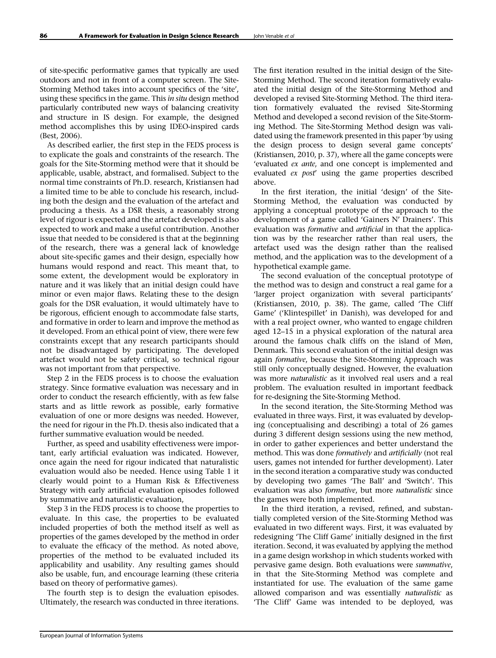of site-specific performative games that typically are used outdoors and not in front of a computer screen. The Site-Storming Method takes into account specifics of the 'site', using these specifics in the game. This in situ design method particularly contributed new ways of balancing creativity and structure in IS design. For example, the designed method accomplishes this by using IDEO-inspired cards ([Best, 2006](#page-13-0)).

As described earlier, the first step in the FEDS process is to explicate the goals and constraints of the research. The goals for the Site-Storming method were that it should be applicable, usable, abstract, and formalised. Subject to the normal time constraints of Ph.D. research, Kristiansen had a limited time to be able to conclude his research, including both the design and the evaluation of the artefact and producing a thesis. As a DSR thesis, a reasonably strong level of rigour is expected and the artefact developed is also expected to work and make a useful contribution. Another issue that needed to be considered is that at the beginning of the research, there was a general lack of knowledge about site-specific games and their design, especially how humans would respond and react. This meant that, to some extent, the development would be exploratory in nature and it was likely that an initial design could have minor or even major flaws. Relating these to the design goals for the DSR evaluation, it would ultimately have to be rigorous, efficient enough to accommodate false starts, and formative in order to learn and improve the method as it developed. From an ethical point of view, there were few constraints except that any research participants should not be disadvantaged by participating. The developed artefact would not be safety critical, so technical rigour was not important from that perspective.

Step 2 in the FEDS process is to choose the evaluation strategy. Since formative evaluation was necessary and in order to conduct the research efficiently, with as few false starts and as little rework as possible, early formative evaluation of one or more designs was needed. However, the need for rigour in the Ph.D. thesis also indicated that a further summative evaluation would be needed.

Further, as speed and usability effectiveness were important, early artificial evaluation was indicated. However, once again the need for rigour indicated that naturalistic evaluation would also be needed. Hence using [Table 1](#page-6-0) it clearly would point to a Human Risk & Effectiveness Strategy with early artificial evaluation episodes followed by summative and naturalistic evaluation,

Step 3 in the FEDS process is to choose the properties to evaluate. In this case, the properties to be evaluated included properties of both the method itself as well as properties of the games developed by the method in order to evaluate the efficacy of the method. As noted above, properties of the method to be evaluated included its applicability and usability. Any resulting games should also be usable, fun, and encourage learning (these criteria based on theory of performative games).

The fourth step is to design the evaluation episodes. Ultimately, the research was conducted in three iterations. The first iteration resulted in the initial design of the Site-Storming Method. The second iteration formatively evaluated the initial design of the Site-Storming Method and developed a revised Site-Storming Method. The third iteration formatively evaluated the revised Site-Storming Method and developed a second revision of the Site-Storming Method. The Site-Storming Method design was validated using the framework presented in this paper 'by using the design process to design several game concepts' ([Kristiansen, 2010,](#page-13-0) p. 37), where all the game concepts were 'evaluated ex ante, and one concept is implemented and evaluated *ex post*' using the game properties described above.

In the first iteration, the initial 'design' of the Site-Storming Method, the evaluation was conducted by applying a conceptual prototype of the approach to the development of a game called 'Gainers N' Drainers'. This evaluation was formative and artificial in that the application was by the researcher rather than real users, the artefact used was the design rather than the realised method, and the application was to the development of a hypothetical example game.

The second evaluation of the conceptual prototype of the method was to design and construct a real game for a 'larger project organization with several participants' ([Kristiansen, 2010,](#page-13-0) p. 38). The game, called 'The Cliff Game' ('Klintespillet' in Danish), was developed for and with a real project owner, who wanted to engage children aged 12–15 in a physical exploration of the natural area around the famous chalk cliffs on the island of Møn, Denmark. This second evaluation of the initial design was again formative, because the Site-Storming Approach was still only conceptually designed. However, the evaluation was more naturalistic as it involved real users and a real problem. The evaluation resulted in important feedback for re-designing the Site-Storming Method.

In the second iteration, the Site-Storming Method was evaluated in three ways. First, it was evaluated by developing (conceptualising and describing) a total of 26 games during 3 different design sessions using the new method, in order to gather experiences and better understand the method. This was done formatively and artificially (not real users, games not intended for further development). Later in the second iteration a comparative study was conducted by developing two games 'The Ball' and 'Switch'. This evaluation was also *formative*, but more *naturalistic* since the games were both implemented.

In the third iteration, a revised, refined, and substantially completed version of the Site-Storming Method was evaluated in two different ways. First, it was evaluated by redesigning 'The Cliff Game' initially designed in the first iteration. Second, it was evaluated by applying the method in a game design workshop in which students worked with pervasive game design. Both evaluations were summative, in that the Site-Storming Method was complete and instantiated for use. The evaluation of the same game allowed comparison and was essentially naturalistic as 'The Cliff' Game was intended to be deployed, was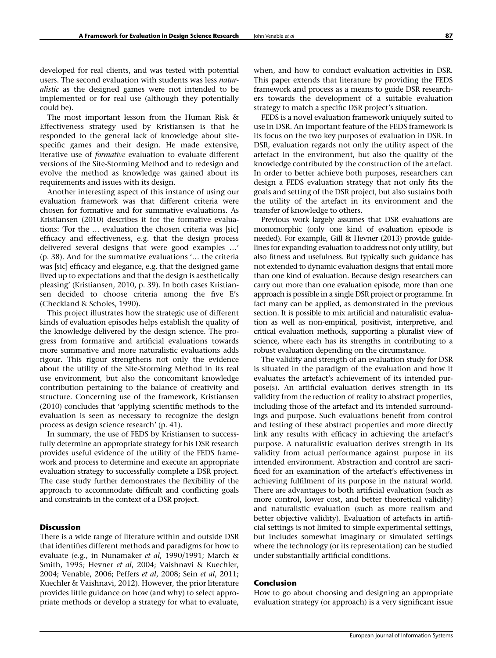developed for real clients, and was tested with potential users. The second evaluation with students was less naturalistic as the designed games were not intended to be implemented or for real use (although they potentially could be).

The most important lesson from the Human Risk & Effectiveness strategy used by Kristiansen is that he responded to the general lack of knowledge about sitespecific games and their design. He made extensive, iterative use of formative evaluation to evaluate different versions of the Site-Storming Method and to redesign and evolve the method as knowledge was gained about its requirements and issues with its design.

Another interesting aspect of this instance of using our evaluation framework was that different criteria were chosen for formative and for summative evaluations. As [Kristiansen \(2010\)](#page-13-0) describes it for the formative evaluations: 'For the … evaluation the chosen criteria was [sic] efficacy and effectiveness, e.g. that the design process delivered several designs that were good examples …' (p. 38). And for the summative evaluations '… the criteria was [sic] efficacy and elegance, e.g. that the designed game lived up to expectations and that the design is aesthetically pleasing' ([Kristiansen, 2010](#page-13-0), p. 39). In both cases Kristiansen decided to choose criteria among the five E's ([Checkland & Scholes, 1990](#page-13-0)).

This project illustrates how the strategic use of different kinds of evaluation episodes helps establish the quality of the knowledge delivered by the design science. The progress from formative and artificial evaluations towards more summative and more naturalistic evaluations adds rigour. This rigour strengthens not only the evidence about the utility of the Site-Storming Method in its real use environment, but also the concomitant knowledge contribution pertaining to the balance of creativity and structure. Concerning use of the framework, [Kristiansen](#page-13-0) [\(2010\)](#page-13-0) concludes that 'applying scientific methods to the evaluation is seen as necessary to recognize the design process as design science research' (p. 41).

In summary, the use of FEDS by Kristiansen to successfully determine an appropriate strategy for his DSR research provides useful evidence of the utility of the FEDS framework and process to determine and execute an appropriate evaluation strategy to successfully complete a DSR project. The case study further demonstrates the flexibility of the approach to accommodate difficult and conflicting goals and constraints in the context of a DSR project.

## **Discussion**

There is a wide range of literature within and outside DSR that identifies different methods and paradigms for how to evaluate (e.g., in Nunamaker et al[, 1990/1991; March &](#page-13-0) [Smith, 1995; Hevner](#page-13-0) et al, 2004; [Vaishnavi & Kuechler,](#page-13-0) [2004](#page-13-0); [Venable, 2006](#page-13-0); [Peffers](#page-13-0) et al, 2008; Sein et al[, 2011](#page-13-0); [Kuechler & Vaishnavi, 2012](#page-13-0)). However, the prior literature provides little guidance on how (and why) to select appropriate methods or develop a strategy for what to evaluate,

when, and how to conduct evaluation activities in DSR. This paper extends that literature by providing the FEDS framework and process as a means to guide DSR researchers towards the development of a suitable evaluation strategy to match a specific DSR project's situation.

FEDS is a novel evaluation framework uniquely suited to use in DSR. An important feature of the FEDS framework is its focus on the two key purposes of evaluation in DSR. In DSR, evaluation regards not only the utility aspect of the artefact in the environment, but also the quality of the knowledge contributed by the construction of the artefact. In order to better achieve both purposes, researchers can design a FEDS evaluation strategy that not only fits the goals and setting of the DSR project, but also sustains both the utility of the artefact in its environment and the transfer of knowledge to others.

Previous work largely assumes that DSR evaluations are monomorphic (only one kind of evaluation episode is needed). For example, Gill & [Hevner \(2013\)](#page-13-0) provide guidelines for expanding evaluation to address not only utility, but also fitness and usefulness. But typically such guidance has not extended to dynamic evaluation designs that entail more than one kind of evaluation. Because design researchers can carry out more than one evaluation episode, more than one approach is possible in a single DSR project or programme. In fact many can be applied, as demonstrated in the previous section. It is possible to mix artificial and naturalistic evaluation as well as non-empirical, positivist, interpretive, and critical evaluation methods, supporting a pluralist view of science, where each has its strengths in contributing to a robust evaluation depending on the circumstance.

The validity and strength of an evaluation study for DSR is situated in the paradigm of the evaluation and how it evaluates the artefact's achievement of its intended purpose(s). An artificial evaluation derives strength in its validity from the reduction of reality to abstract properties, including those of the artefact and its intended surroundings and purpose. Such evaluations benefit from control and testing of these abstract properties and more directly link any results with efficacy in achieving the artefact's purpose. A naturalistic evaluation derives strength in its validity from actual performance against purpose in its intended environment. Abstraction and control are sacrificed for an examination of the artefact's effectiveness in achieving fulfilment of its purpose in the natural world. There are advantages to both artificial evaluation (such as more control, lower cost, and better theoretical validity) and naturalistic evaluation (such as more realism and better objective validity). Evaluation of artefacts in artificial settings is not limited to simple experimental settings, but includes somewhat imaginary or simulated settings where the technology (or its representation) can be studied under substantially artificial conditions.

#### Conclusion

How to go about choosing and designing an appropriate evaluation strategy (or approach) is a very significant issue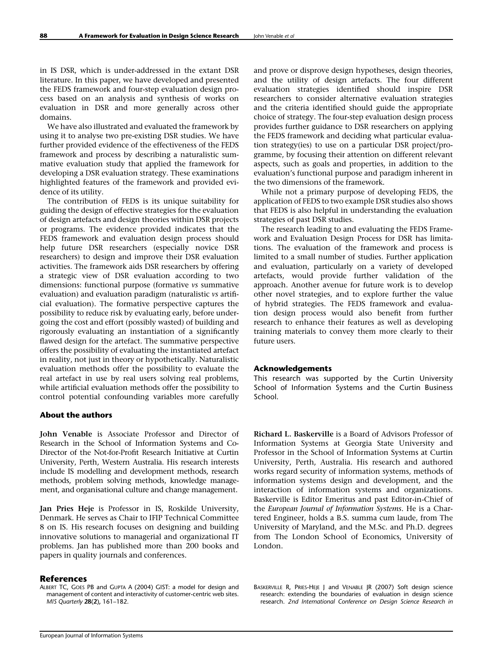<span id="page-12-0"></span>in IS DSR, which is under-addressed in the extant DSR literature. In this paper, we have developed and presented the FEDS framework and four-step evaluation design process based on an analysis and synthesis of works on evaluation in DSR and more generally across other domains.

We have also illustrated and evaluated the framework by using it to analyse two pre-existing DSR studies. We have further provided evidence of the effectiveness of the FEDS framework and process by describing a naturalistic summative evaluation study that applied the framework for developing a DSR evaluation strategy. These examinations highlighted features of the framework and provided evidence of its utility.

The contribution of FEDS is its unique suitability for guiding the design of effective strategies for the evaluation of design artefacts and design theories within DSR projects or programs. The evidence provided indicates that the FEDS framework and evaluation design process should help future DSR researchers (especially novice DSR researchers) to design and improve their DSR evaluation activities. The framework aids DSR researchers by offering a strategic view of DSR evaluation according to two dimensions: functional purpose (formative vs summative evaluation) and evaluation paradigm (naturalistic vs artificial evaluation). The formative perspective captures the possibility to reduce risk by evaluating early, before undergoing the cost and effort (possibly wasted) of building and rigorously evaluating an instantiation of a significantly flawed design for the artefact. The summative perspective offers the possibility of evaluating the instantiated artefact in reality, not just in theory or hypothetically. Naturalistic evaluation methods offer the possibility to evaluate the real artefact in use by real users solving real problems, while artificial evaluation methods offer the possibility to control potential confounding variables more carefully

# About the authors

John Venable is Associate Professor and Director of Research in the School of Information Systems and Co-Director of the Not-for-Profit Research Initiative at Curtin University, Perth, Western Australia. His research interests include IS modelling and development methods, research methods, problem solving methods, knowledge management, and organisational culture and change management.

Jan Pries Heje is Professor in IS, Roskilde University, Denmark. He serves as Chair to IFIP Technical Committee 8 on IS. His research focuses on designing and building innovative solutions to managerial and organizational IT problems. Jan has published more than 200 books and papers in quality journals and conferences.

#### References

and prove or disprove design hypotheses, design theories, and the utility of design artefacts. The four different evaluation strategies identified should inspire DSR researchers to consider alternative evaluation strategies and the criteria identified should guide the appropriate choice of strategy. The four-step evaluation design process provides further guidance to DSR researchers on applying the FEDS framework and deciding what particular evaluation strategy(ies) to use on a particular DSR project/programme, by focusing their attention on different relevant aspects, such as goals and properties, in addition to the evaluation's functional purpose and paradigm inherent in the two dimensions of the framework.

While not a primary purpose of developing FEDS, the application of FEDS to two example DSR studies also shows that FEDS is also helpful in understanding the evaluation strategies of past DSR studies.

The research leading to and evaluating the FEDS Framework and Evaluation Design Process for DSR has limitations. The evaluation of the framework and process is limited to a small number of studies. Further application and evaluation, particularly on a variety of developed artefacts, would provide further validation of the approach. Another avenue for future work is to develop other novel strategies, and to explore further the value of hybrid strategies. The FEDS framework and evaluation design process would also benefit from further research to enhance their features as well as developing training materials to convey them more clearly to their future users.

#### Acknowledgements

This research was supported by the Curtin University School of Information Systems and the Curtin Business School.

Richard L. Baskerville is a Board of Advisors Professor of Information Systems at Georgia State University and Professor in the School of Information Systems at Curtin University, Perth, Australia. His research and authored works regard security of information systems, methods of information systems design and development, and the interaction of information systems and organizations. Baskerville is Editor Emeritus and past Editor-in-Chief of the European Journal of Information Systems. He is a Chartered Engineer, holds a B.S. summa cum laude, from The University of Maryland, and the M.Sc. and Ph.D. degrees from The London School of Economics, University of London.

BASKERVILLE R, PRIES-HEJE J and VENABLE JR (2007) Soft design science research: extending the boundaries of evaluation in design science research. 2nd International Conference on Design Science Research in

ALBERT TC, GOES PB and GUPTA A (2004) GIST: a model for design and management of content and interactivity of customer-centric web sites. MIS Quarterly 28(2), 161–182.